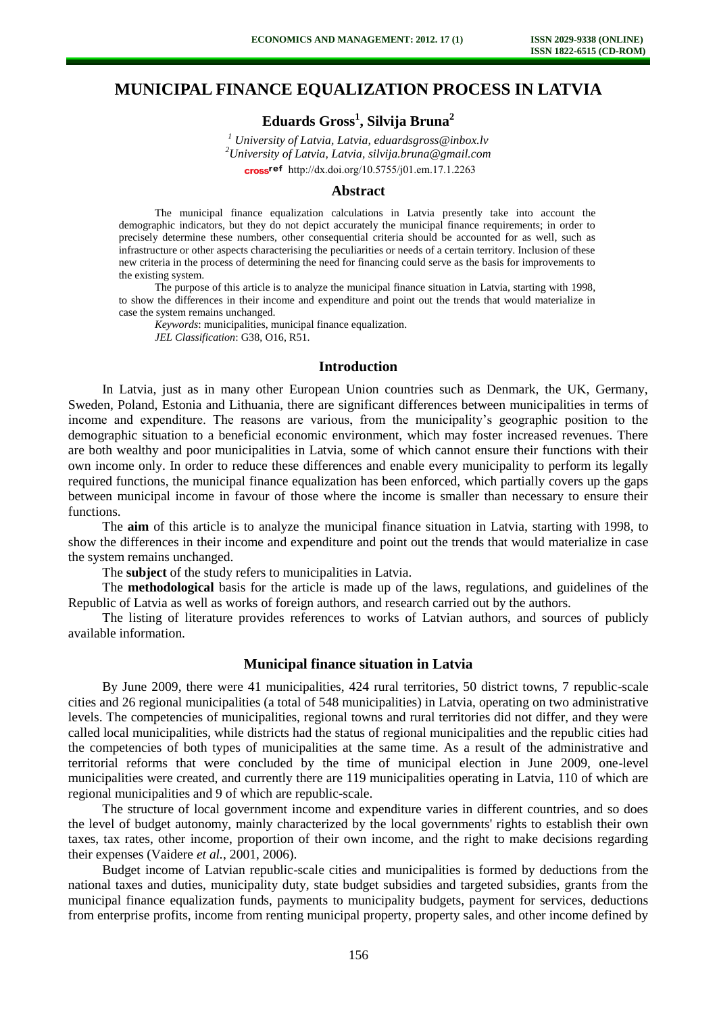## **MUNICIPAL FINANCE EQUALIZATION PROCESS IN LATVIA**

# **Eduards Gross<sup>1</sup> , Silvija Bruna<sup>2</sup>**

*1 University of Latvia, Latvia, eduardsgross@inbox.lv <sup>2</sup>University of Latvia, Latvia, silvija.bruna@gmail.com*  cross<sup>ref</sup> [http://dx.doi.org/10.5755/j01.e](http://dx.doi.org/10.5755/j01.em.17.1.2263)m.17.1.2263

#### **Abstract**

The municipal finance equalization calculations in Latvia presently take into account the demographic indicators, but they do not depict accurately the municipal finance requirements; in order to precisely determine these numbers, other consequential criteria should be accounted for as well, such as infrastructure or other aspects characterising the peculiarities or needs of a certain territory. Inclusion of these new criteria in the process of determining the need for financing could serve as the basis for improvements to the existing system.

The purpose of this article is to analyze the municipal finance situation in Latvia, starting with 1998, to show the differences in their income and expenditure and point out the trends that would materialize in case the system remains unchanged.

*Keywords*: municipalities, municipal finance equalization. *JEL Classification*: G38, O16, R51.

## **Introduction**

In Latvia, just as in many other European Union countries such as Denmark, the UK, Germany, Sweden, Poland, Estonia and Lithuania, there are significant differences between municipalities in terms of income and expenditure. The reasons are various, from the municipality's geographic position to the demographic situation to a beneficial economic environment, which may foster increased revenues. There are both wealthy and poor municipalities in Latvia, some of which cannot ensure their functions with their own income only. In order to reduce these differences and enable every municipality to perform its legally required functions, the municipal finance equalization has been enforced, which partially covers up the gaps between municipal income in favour of those where the income is smaller than necessary to ensure their functions.

The **aim** of this article is to analyze the municipal finance situation in Latvia, starting with 1998, to show the differences in their income and expenditure and point out the trends that would materialize in case the system remains unchanged.

The **subject** of the study refers to municipalities in Latvia.

The **methodological** basis for the article is made up of the laws, regulations, and guidelines of the Republic of Latvia as well as works of foreign authors, and research carried out by the authors.

The listing of literature provides references to works of Latvian authors, and sources of publicly available information.

#### **Municipal finance situation in Latvia**

By June 2009, there were 41 municipalities, 424 rural territories, 50 district towns, 7 republic-scale cities and 26 regional municipalities (a total of 548 municipalities) in Latvia, operating on two administrative levels. The competencies of municipalities, regional towns and rural territories did not differ, and they were called local municipalities, while districts had the status of regional municipalities and the republic cities had the competencies of both types of municipalities at the same time. As a result of the administrative and territorial reforms that were concluded by the time of municipal election in June 2009, one-level municipalities were created, and currently there are 119 municipalities operating in Latvia, 110 of which are regional municipalities and 9 of which are republic-scale.

The structure of local government income and expenditure varies in different countries, and so does the level of budget autonomy, mainly characterized by the local governments' rights to establish their own taxes, tax rates, other income, proportion of their own income, and the right to make decisions regarding their expenses (Vaidere *et al.*, 2001, 2006).

Budget income of Latvian republic-scale cities and municipalities is formed by deductions from the national taxes and duties, municipality duty, state budget subsidies and targeted subsidies, grants from the municipal finance equalization funds, payments to municipality budgets, payment for services, deductions from enterprise profits, income from renting municipal property, property sales, and other income defined by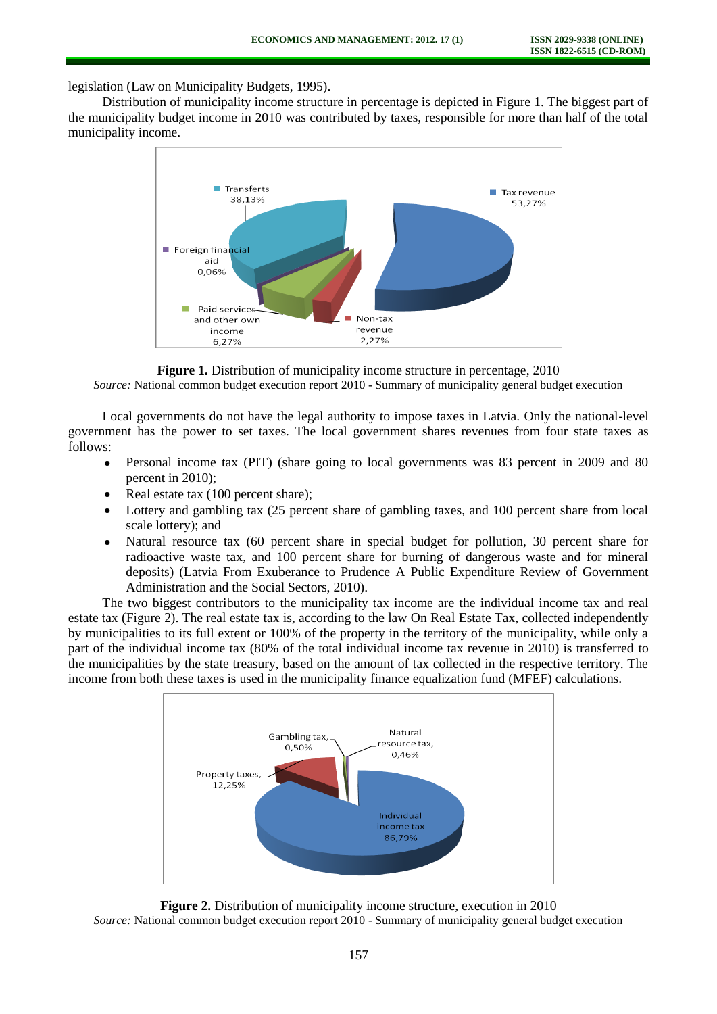legislation (Law on Municipality Budgets, 1995).

Distribution of municipality income structure in percentage is depicted in Figure 1. The biggest part of the municipality budget income in 2010 was contributed by taxes, responsible for more than half of the total municipality income.



**Figure 1.** Distribution of municipality income structure in percentage, 2010 *Source:* National common budget execution report 2010 - Summary of municipality general budget execution

Local governments do not have the legal authority to impose taxes in Latvia. Only the national-level government has the power to set taxes. The local government shares revenues from four state taxes as follows:

- Personal income tax (PIT) (share going to local governments was 83 percent in 2009 and 80 percent in 2010);
- Real estate tax (100 percent share);  $\bullet$
- Lottery and gambling tax (25 percent share of gambling taxes, and 100 percent share from local scale lottery); and
- Natural resource tax (60 percent share in special budget for pollution, 30 percent share for  $\bullet$ radioactive waste tax, and 100 percent share for burning of dangerous waste and for mineral deposits) (Latvia From Exuberance to Prudence A Public Expenditure Review of Government Administration and the Social Sectors, 2010).

The two biggest contributors to the municipality tax income are the individual income tax and real estate tax (Figure 2). The real estate tax is, according to the law On Real Estate Tax, collected independently by municipalities to its full extent or 100% of the property in the territory of the municipality, while only a part of the individual income tax (80% of the total individual income tax revenue in 2010) is transferred to the municipalities by the state treasury, based on the amount of tax collected in the respective territory. The income from both these taxes is used in the municipality finance equalization fund (MFEF) calculations.



**Figure 2.** Distribution of municipality income structure, execution in 2010 *Source:* National common budget execution report 2010 - Summary of municipality general budget execution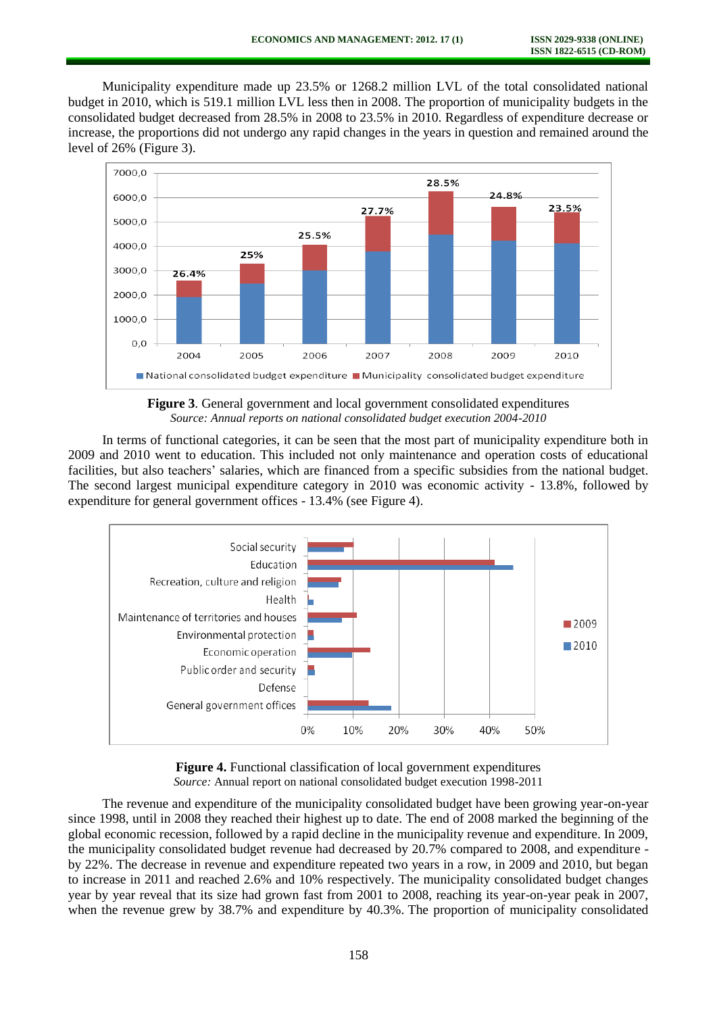Municipality expenditure made up 23.5% or 1268.2 million LVL of the total consolidated national budget in 2010, which is 519.1 million LVL less then in 2008. The proportion of municipality budgets in the consolidated budget decreased from 28.5% in 2008 to 23.5% in 2010. Regardless of expenditure decrease or increase, the proportions did not undergo any rapid changes in the years in question and remained around the level of 26% (Figure 3).



**Figure 3**. General government and local government consolidated expenditures *Source: Annual reports on national consolidated budget execution 2004-2010*

In terms of functional categories, it can be seen that the most part of municipality expenditure both in 2009 and 2010 went to education. This included not only maintenance and operation costs of educational facilities, but also teachers' salaries, which are financed from a specific subsidies from the national budget. The second largest municipal expenditure category in 2010 was economic activity - 13.8%, followed by expenditure for general government offices - 13.4% (see Figure 4).





The revenue and expenditure of the municipality consolidated budget have been growing year-on-year since 1998, until in 2008 they reached their highest up to date. The end of 2008 marked the beginning of the global economic recession, followed by a rapid decline in the municipality revenue and expenditure. In 2009, the municipality consolidated budget revenue had decreased by 20.7% compared to 2008, and expenditure by 22%. The decrease in revenue and expenditure repeated two years in a row, in 2009 and 2010, but began to increase in 2011 and reached 2.6% and 10% respectively. The municipality consolidated budget changes year by year reveal that its size had grown fast from 2001 to 2008, reaching its year-on-year peak in 2007, when the revenue grew by 38.7% and expenditure by 40.3%. The proportion of municipality consolidated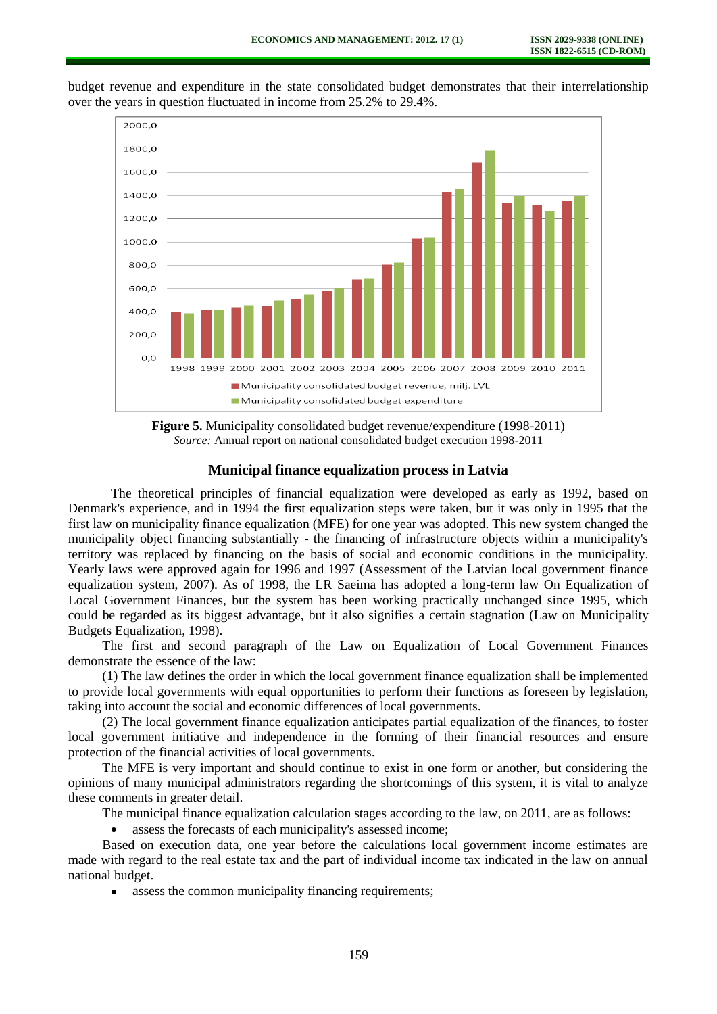

budget revenue and expenditure in the state consolidated budget demonstrates that their interrelationship over the years in question fluctuated in income from 25.2% to 29.4%.

**Figure 5.** Municipality consolidated budget revenue/expenditure (1998-2011) *Source:* Annual report on national consolidated budget execution 1998-2011

### **Municipal finance equalization process in Latvia**

The theoretical principles of financial equalization were developed as early as 1992, based on Denmark's experience, and in 1994 the first equalization steps were taken, but it was only in 1995 that the first law on municipality finance equalization (MFE) for one year was adopted. This new system changed the municipality object financing substantially - the financing of infrastructure objects within a municipality's territory was replaced by financing on the basis of social and economic conditions in the municipality. Yearly laws were approved again for 1996 and 1997 (Assessment of the Latvian local government finance equalization system, 2007). As of 1998, the LR Saeima has adopted a long-term law On Equalization of Local Government Finances, but the system has been working practically unchanged since 1995, which could be regarded as its biggest advantage, but it also signifies a certain stagnation (Law on Municipality Budgets Equalization, 1998).

The first and second paragraph of the Law on Equalization of Local Government Finances demonstrate the essence of the law:

(1) The law defines the order in which the local government finance equalization shall be implemented to provide local governments with equal opportunities to perform their functions as foreseen by legislation, taking into account the social and economic differences of local governments.

(2) The local government finance equalization anticipates partial equalization of the finances, to foster local government initiative and independence in the forming of their financial resources and ensure protection of the financial activities of local governments.

The MFE is very important and should continue to exist in one form or another, but considering the opinions of many municipal administrators regarding the shortcomings of this system, it is vital to analyze these comments in greater detail.

The municipal finance equalization calculation stages according to the law, on 2011, are as follows:

assess the forecasts of each municipality's assessed income;  $\bullet$ 

Based on execution data, one year before the calculations local government income estimates are made with regard to the real estate tax and the part of individual income tax indicated in the law on annual national budget.

assess the common municipality financing requirements;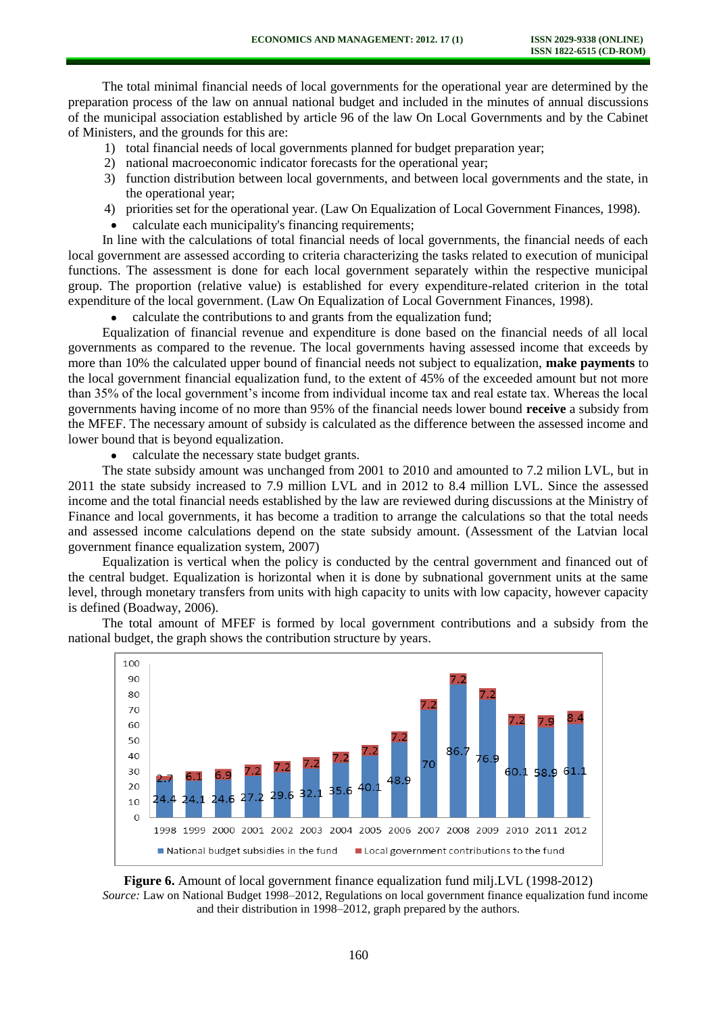The total minimal financial needs of local governments for the operational year are determined by the preparation process of the law on annual national budget and included in the minutes of annual discussions of the municipal association established by article 96 of the law On Local Governments and by the Cabinet of Ministers, and the grounds for this are:

- 1) total financial needs of local governments planned for budget preparation year;
- 2) national macroeconomic indicator forecasts for the operational year;
- 3) function distribution between local governments, and between local governments and the state, in the operational year;
- 4) priorities set for the operational year. (Law On Equalization of Local Government Finances, 1998).
- calculate each municipality's financing requirements;

In line with the calculations of total financial needs of local governments, the financial needs of each local government are assessed according to criteria characterizing the tasks related to execution of municipal functions. The assessment is done for each local government separately within the respective municipal group. The proportion (relative value) is established for every expenditure-related criterion in the total expenditure of the local government. (Law On Equalization of Local Government Finances, 1998).

calculate the contributions to and grants from the equalization fund;

Equalization of financial revenue and expenditure is done based on the financial needs of all local governments as compared to the revenue. The local governments having assessed income that exceeds by more than 10% the calculated upper bound of financial needs not subject to equalization, **make payments** to the local government financial equalization fund, to the extent of 45% of the exceeded amount but not more than 35% of the local government's income from individual income tax and real estate tax. Whereas the local governments having income of no more than 95% of the financial needs lower bound **receive** a subsidy from the MFEF. The necessary amount of subsidy is calculated as the difference between the assessed income and lower bound that is beyond equalization.

• calculate the necessary state budget grants.

The state subsidy amount was unchanged from 2001 to 2010 and amounted to 7.2 milion LVL, but in 2011 the state subsidy increased to 7.9 million LVL and in 2012 to 8.4 million LVL. Since the assessed income and the total financial needs established by the law are reviewed during discussions at the Ministry of Finance and local governments, it has become a tradition to arrange the calculations so that the total needs and assessed income calculations depend on the state subsidy amount. (Assessment of the Latvian local government finance equalization system, 2007)

Equalization is vertical when the policy is conducted by the central government and financed out of the central budget. Equalization is horizontal when it is done by subnational government units at the same level, through monetary transfers from units with high capacity to units with low capacity, however capacity is defined (Boadway, 2006).

The total amount of MFEF is formed by local government contributions and a subsidy from the national budget, the graph shows the contribution structure by years.





*Source:* Law on National Budget 1998–2012, Regulations o[n local government finance equalization fund income](http://www.l2d.lv/l.php?doc_id=48240) and their distribution in 1998–2012, graph prepared by the authors.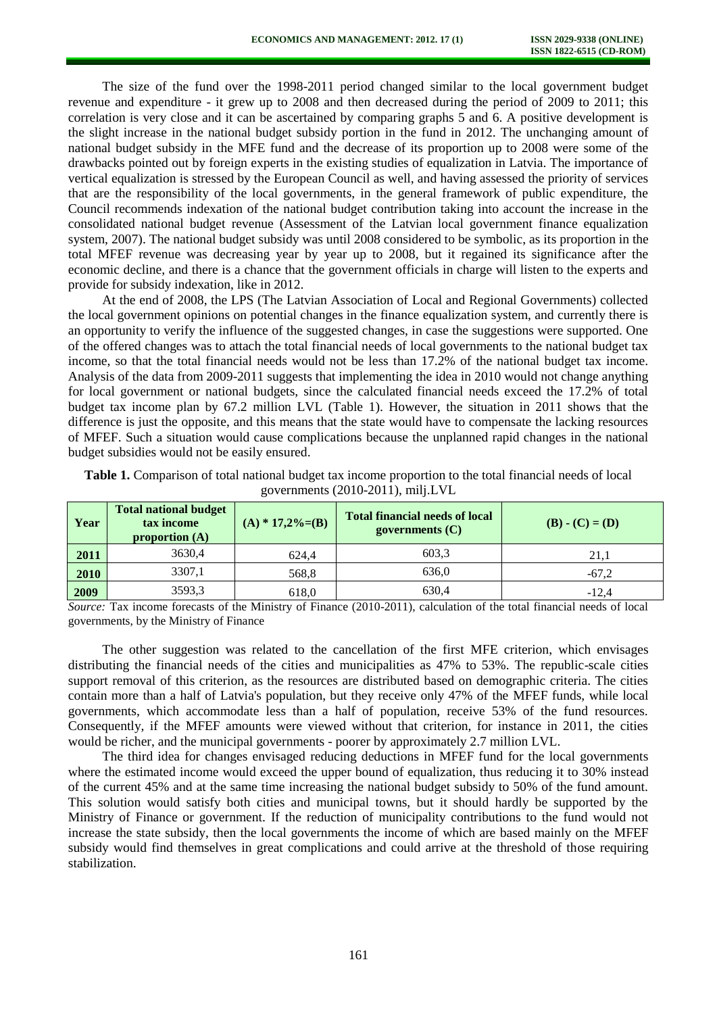The size of the fund over the 1998-2011 period changed similar to the local government budget revenue and expenditure - it grew up to 2008 and then decreased during the period of 2009 to 2011; this correlation is very close and it can be ascertained by comparing graphs 5 and 6. A positive development is the slight increase in the national budget subsidy portion in the fund in 2012. The unchanging amount of national budget subsidy in the MFE fund and the decrease of its proportion up to 2008 were some of the drawbacks pointed out by foreign experts in the existing studies of equalization in Latvia. The importance of vertical equalization is stressed by the European Council as well, and having assessed the priority of services that are the responsibility of the local governments, in the general framework of public expenditure, the Council recommends indexation of the national budget contribution taking into account the increase in the consolidated national budget revenue (Assessment of the Latvian local government finance equalization system, 2007). The national budget subsidy was until 2008 considered to be symbolic, as its proportion in the total MFEF revenue was decreasing year by year up to 2008, but it regained its significance after the economic decline, and there is a chance that the government officials in charge will listen to the experts and provide for subsidy indexation, like in 2012.

At the end of 2008, the LPS (The Latvian Association of Local and Regional Governments) collected the local government opinions on potential changes in the finance equalization system, and currently there is an opportunity to verify the influence of the suggested changes, in case the suggestions were supported. One of the offered changes was to attach the total financial needs of local governments to the national budget tax income, so that the total financial needs would not be less than 17.2% of the national budget tax income. Analysis of the data from 2009-2011 suggests that implementing the idea in 2010 would not change anything for local government or national budgets, since the calculated financial needs exceed the 17.2% of total budget tax income plan by 67.2 million LVL (Table 1). However, the situation in 2011 shows that the difference is just the opposite, and this means that the state would have to compensate the lacking resources of MFEF. Such a situation would cause complications because the unplanned rapid changes in the national budget subsidies would not be easily ensured.

| Year | <b>Total national budget</b><br>tax income<br>proportion $(A)$ | $(A) * 17,2\% = (B)$ | <b>Total financial needs of local</b><br>governments $(C)$ | $(B) - (C) = (D)$ |
|------|----------------------------------------------------------------|----------------------|------------------------------------------------------------|-------------------|
| 2011 | 3630.4                                                         | 624.4                | 603.3                                                      | 21.1              |
| 2010 | 3307.1                                                         | 568,8                | 636.0                                                      | $-67.2$           |
| 2009 | 3593,3                                                         | 618,0                | 630.4                                                      | $-12.4$           |

**Table 1.** Comparison of total national budget tax income proportion to the total financial needs of local governments (2010-2011), milj.LVL

*Source:* Tax income forecasts of the Ministry of Finance (2010-2011), calculation of the total financial needs of local governments, by the Ministry of Finance

The other suggestion was related to the cancellation of the first MFE criterion, which envisages distributing the financial needs of the cities and municipalities as 47% to 53%. The republic-scale cities support removal of this criterion, as the resources are distributed based on demographic criteria. The cities contain more than a half of Latvia's population, but they receive only 47% of the MFEF funds, while local governments, which accommodate less than a half of population, receive 53% of the fund resources. Consequently, if the MFEF amounts were viewed without that criterion, for instance in 2011, the cities would be richer, and the municipal governments - poorer by approximately 2.7 million LVL.

The third idea for changes envisaged reducing deductions in MFEF fund for the local governments where the estimated income would exceed the upper bound of equalization, thus reducing it to 30% instead of the current 45% and at the same time increasing the national budget subsidy to 50% of the fund amount. This solution would satisfy both cities and municipal towns, but it should hardly be supported by the Ministry of Finance or government. If the reduction of municipality contributions to the fund would not increase the state subsidy, then the local governments the income of which are based mainly on the MFEF subsidy would find themselves in great complications and could arrive at the threshold of those requiring stabilization.